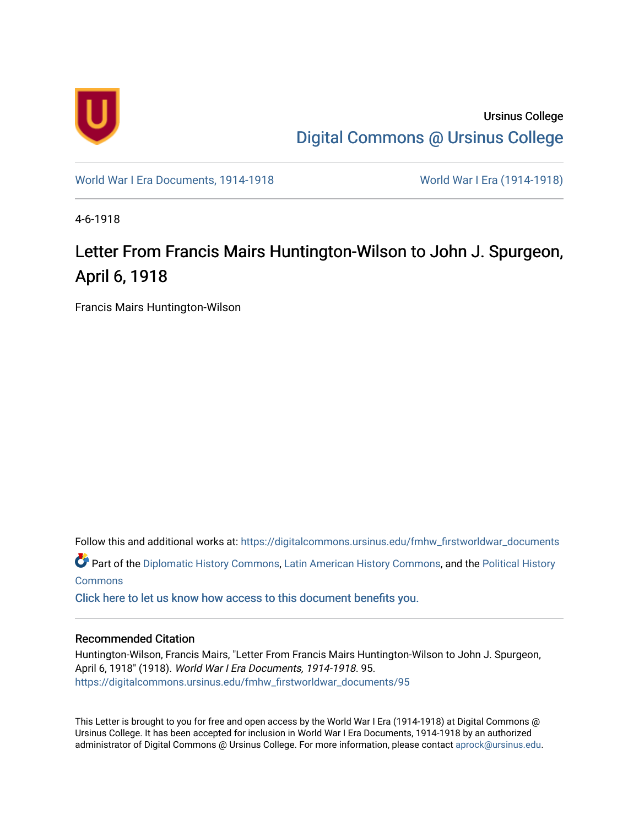

Ursinus College [Digital Commons @ Ursinus College](https://digitalcommons.ursinus.edu/) 

[World War I Era Documents, 1914-1918](https://digitalcommons.ursinus.edu/fmhw_firstworldwar_documents) [World War I Era \(1914-1918\)](https://digitalcommons.ursinus.edu/fmhw_firstworldwar) 

4-6-1918

## Letter From Francis Mairs Huntington-Wilson to John J. Spurgeon, April 6, 1918

Francis Mairs Huntington-Wilson

Follow this and additional works at: [https://digitalcommons.ursinus.edu/fmhw\\_firstworldwar\\_documents](https://digitalcommons.ursinus.edu/fmhw_firstworldwar_documents?utm_source=digitalcommons.ursinus.edu%2Ffmhw_firstworldwar_documents%2F95&utm_medium=PDF&utm_campaign=PDFCoverPages) 

Part of the [Diplomatic History Commons,](http://network.bepress.com/hgg/discipline/497?utm_source=digitalcommons.ursinus.edu%2Ffmhw_firstworldwar_documents%2F95&utm_medium=PDF&utm_campaign=PDFCoverPages) [Latin American History Commons](http://network.bepress.com/hgg/discipline/494?utm_source=digitalcommons.ursinus.edu%2Ffmhw_firstworldwar_documents%2F95&utm_medium=PDF&utm_campaign=PDFCoverPages), and the [Political History](http://network.bepress.com/hgg/discipline/505?utm_source=digitalcommons.ursinus.edu%2Ffmhw_firstworldwar_documents%2F95&utm_medium=PDF&utm_campaign=PDFCoverPages) **[Commons](http://network.bepress.com/hgg/discipline/505?utm_source=digitalcommons.ursinus.edu%2Ffmhw_firstworldwar_documents%2F95&utm_medium=PDF&utm_campaign=PDFCoverPages)** 

[Click here to let us know how access to this document benefits you.](https://ursinus.co1.qualtrics.com/jfe/form/SV_1RIyfqzdxsWfMQ5) 

## Recommended Citation

Huntington-Wilson, Francis Mairs, "Letter From Francis Mairs Huntington-Wilson to John J. Spurgeon, April 6, 1918" (1918). World War I Era Documents, 1914-1918. 95. [https://digitalcommons.ursinus.edu/fmhw\\_firstworldwar\\_documents/95](https://digitalcommons.ursinus.edu/fmhw_firstworldwar_documents/95?utm_source=digitalcommons.ursinus.edu%2Ffmhw_firstworldwar_documents%2F95&utm_medium=PDF&utm_campaign=PDFCoverPages) 

This Letter is brought to you for free and open access by the World War I Era (1914-1918) at Digital Commons @ Ursinus College. It has been accepted for inclusion in World War I Era Documents, 1914-1918 by an authorized administrator of Digital Commons @ Ursinus College. For more information, please contact [aprock@ursinus.edu.](mailto:aprock@ursinus.edu)